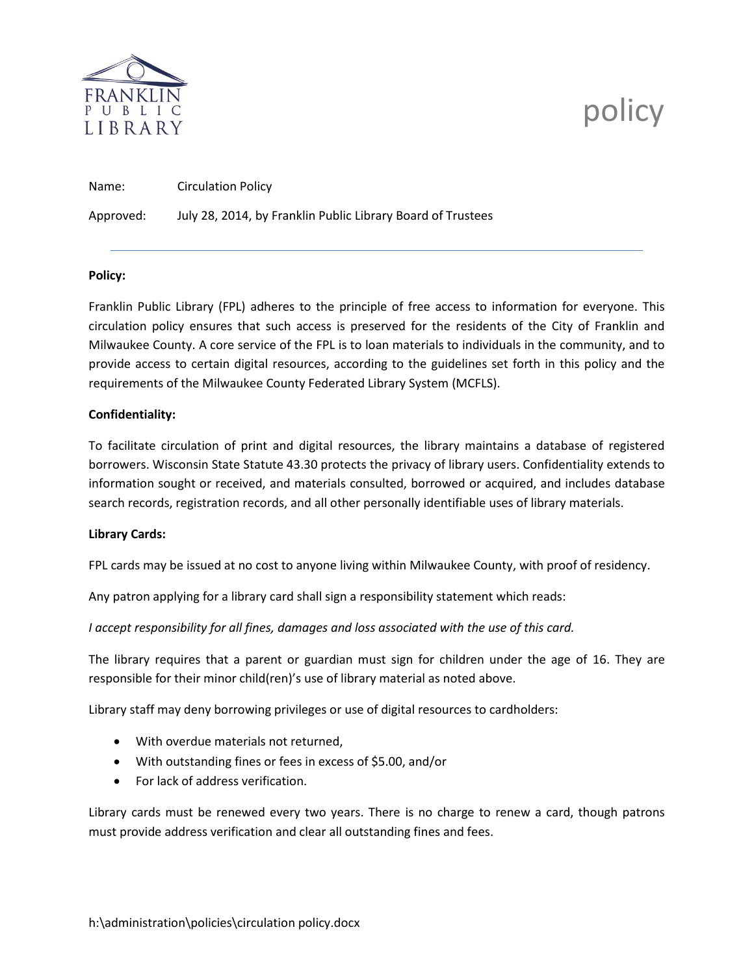

# policy

Name: Circulation Policy

Approved: July 28, 2014, by Franklin Public Library Board of Trustees

## **Policy:**

Franklin Public Library (FPL) adheres to the principle of free access to information for everyone. This circulation policy ensures that such access is preserved for the residents of the City of Franklin and Milwaukee County. A core service of the FPL is to loan materials to individuals in the community, and to provide access to certain digital resources, according to the guidelines set forth in this policy and the requirements of the Milwaukee County Federated Library System (MCFLS).

## **Confidentiality:**

To facilitate circulation of print and digital resources, the library maintains a database of registered borrowers. Wisconsin State Statute 43.30 protects the privacy of library users. Confidentiality extends to information sought or received, and materials consulted, borrowed or acquired, and includes database search records, registration records, and all other personally identifiable uses of library materials.

#### **Library Cards:**

FPL cards may be issued at no cost to anyone living within Milwaukee County, with proof of residency.

Any patron applying for a library card shall sign a responsibility statement which reads:

*I accept responsibility for all fines, damages and loss associated with the use of this card.* 

The library requires that a parent or guardian must sign for children under the age of 16. They are responsible for their minor child(ren)'s use of library material as noted above.

Library staff may deny borrowing privileges or use of digital resources to cardholders:

- With overdue materials not returned,
- With outstanding fines or fees in excess of \$5.00, and/or
- For lack of address verification.

Library cards must be renewed every two years. There is no charge to renew a card, though patrons must provide address verification and clear all outstanding fines and fees.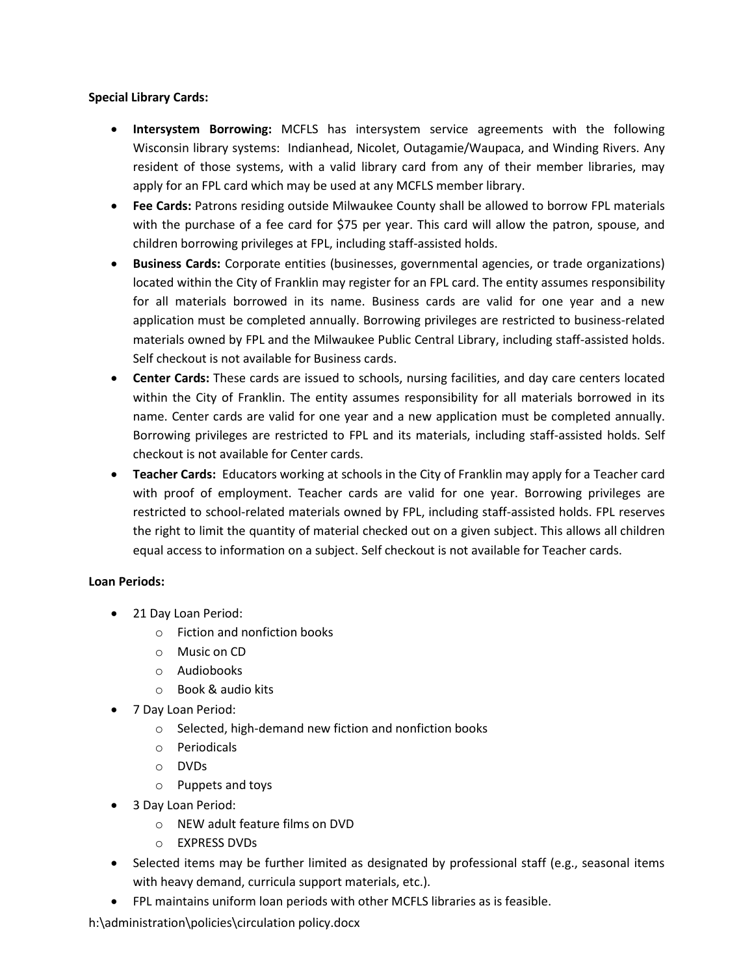## **Special Library Cards:**

- **Intersystem Borrowing:** MCFLS has intersystem service agreements with the following Wisconsin library systems: Indianhead, Nicolet, Outagamie/Waupaca, and Winding Rivers. Any resident of those systems, with a valid library card from any of their member libraries, may apply for an FPL card which may be used at any MCFLS member library.
- **Fee Cards:** Patrons residing outside Milwaukee County shall be allowed to borrow FPL materials with the purchase of a fee card for \$75 per year. This card will allow the patron, spouse, and children borrowing privileges at FPL, including staff-assisted holds.
- **Business Cards:** Corporate entities (businesses, governmental agencies, or trade organizations) located within the City of Franklin may register for an FPL card. The entity assumes responsibility for all materials borrowed in its name. Business cards are valid for one year and a new application must be completed annually. Borrowing privileges are restricted to business-related materials owned by FPL and the Milwaukee Public Central Library, including staff-assisted holds. Self checkout is not available for Business cards.
- **Center Cards:** These cards are issued to schools, nursing facilities, and day care centers located within the City of Franklin. The entity assumes responsibility for all materials borrowed in its name. Center cards are valid for one year and a new application must be completed annually. Borrowing privileges are restricted to FPL and its materials, including staff-assisted holds. Self checkout is not available for Center cards.
- **Teacher Cards:** Educators working at schools in the City of Franklin may apply for a Teacher card with proof of employment. Teacher cards are valid for one year. Borrowing privileges are restricted to school-related materials owned by FPL, including staff-assisted holds. FPL reserves the right to limit the quantity of material checked out on a given subject. This allows all children equal access to information on a subject. Self checkout is not available for Teacher cards.

## **Loan Periods:**

- 21 Day Loan Period:
	- o Fiction and nonfiction books
	- o Music on CD
	- o Audiobooks
	- o Book & audio kits
- 7 Day Loan Period:
	- o Selected, high-demand new fiction and nonfiction books
	- o Periodicals
	- o DVDs
	- o Puppets and toys
- 3 Day Loan Period:
	- o NEW adult feature films on DVD
	- o EXPRESS DVDs
- Selected items may be further limited as designated by professional staff (e.g., seasonal items with heavy demand, curricula support materials, etc.).
- FPL maintains uniform loan periods with other MCFLS libraries as is feasible.

h:\administration\policies\circulation policy.docx